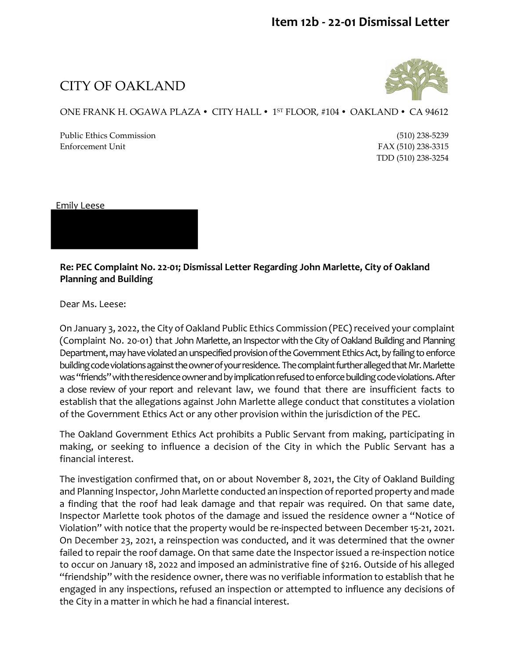## CITY OF OAKLAND



## ONE FRANK H. OGAWA PLAZA • CITY HALL • 1<sup>st</sup> FLOOR, #104 • OAKLAND • CA 94612

Public Ethics Commission (510) 238-5239 Enforcement Unit FAX (510) 238-3315

TDD (510) 238-3254

Emily Leese

**Re: PEC Complaint No. 22-01; Dismissal Letter Regarding John Marlette, City of Oakland Planning and Building** 

Dear Ms. Leese:

On January 3, 2022, the City of Oakland Public Ethics Commission (PEC) received your complaint (Complaint No. 20-01) that John Marlette, an Inspector with the City of Oakland Building and Planning Department, may have violated an unspecified provision of the Government Ethics Act, by failing to enforce building code violations against the owner of your residence. The complaint further alleged that Mr. Marlette was "friends" with the residence owner and by implication refused to enforce building code violations. After a close review of your report and relevant law, we found that there are insufficient facts to establish that the allegations against John Marlette allege conduct that constitutes a violation of the Government Ethics Act or any other provision within the jurisdiction of the PEC.

The Oakland Government Ethics Act prohibits a Public Servant from making, participating in making, or seeking to influence a decision of the City in which the Public Servant has a financial interest.

The investigation confirmed that, on or about November 8, 2021, the City of Oakland Building and Planning Inspector, John Marlette conducted an inspection of reported property and made a finding that the roof had leak damage and that repair was required. On that same date, Inspector Marlette took photos of the damage and issued the residence owner a "Notice of Violation" with notice that the property would be re-inspected between December 15-21, 2021. On December 23, 2021, a reinspection was conducted, and it was determined that the owner failed to repair the roof damage. On that same date the Inspector issued a re-inspection notice to occur on January 18, 2022 and imposed an administrative fine of \$216. Outside of his alleged "friendship" with the residence owner, there was no verifiable information to establish that he engaged in any inspections, refused an inspection or attempted to influence any decisions of the City in a matter in which he had a financial interest.